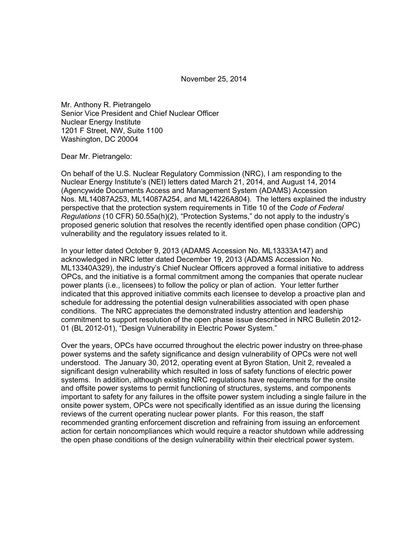November 25, 2014

Mr. Anthony R. Pietrangelo Senior Vice President and Chief Nuclear Officer Nuclear Energy Institute 1201 F Street, NW, Suite 1100 Washington, DC 20004

Dear Mr. Pietrangelo:

On behalf of the U.S. Nuclear Regulatory Commission (NRC), I am responding to the Nuclear Energy Institute's (NEI) letters dated March 21, 2014, and August 14, 2014 (Agencywide Documents Access and Management System (ADAMS) Accession Nos. ML14087A253, ML14087A254, and ML14226A804). The letters explained the industry perspective that the protection system requirements in Title 10 of the *Code of Federal Regulations* (10 CFR) 50.55a(h)(2), "Protection Systems," do not apply to the industry's proposed generic solution that resolves the recently identified open phase condition (OPC) vulnerability and the regulatory issues related to it.

In your letter dated October 9, 2013 (ADAMS Accession No. ML13333A147) and acknowledged in NRC letter dated December 19, 2013 (ADAMS Accession No. ML13340A329), the industry's Chief Nuclear Officers approved a formal initiative to address OPCs, and the initiative is a formal commitment among the companies that operate nuclear power plants (i.e., licensees) to follow the policy or plan of action. Your letter further indicated that this approved initiative commits each licensee to develop a proactive plan and schedule for addressing the potential design vulnerabilities associated with open phase conditions. The NRC appreciates the demonstrated industry attention and leadership commitment to support resolution of the open phase issue described in NRC Bulletin 2012- 01 (BL 2012-01), "Design Vulnerability in Electric Power System."

Over the years, OPCs have occurred throughout the electric power industry on three-phase power systems and the safety significance and design vulnerability of OPCs were not well understood. The January 30, 2012, operating event at Byron Station, Unit 2, revealed a significant design vulnerability which resulted in loss of safety functions of electric power systems. In addition, although existing NRC regulations have requirements for the onsite and offsite power systems to permit functioning of structures, systems, and components important to safety for any failures in the offsite power system including a single failure in the onsite power system, OPCs were not specifically identified as an issue during the licensing reviews of the current operating nuclear power plants. For this reason, the staff recommended granting enforcement discretion and refraining from issuing an enforcement action for certain noncompliances which would require a reactor shutdown while addressing the open phase conditions of the design vulnerability within their electrical power system.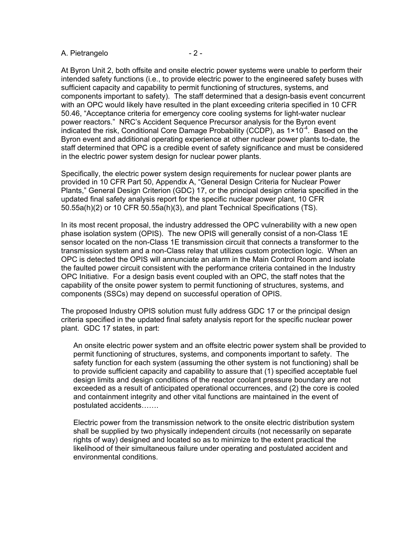#### A. Pietrangelo  $-2 -$

At Byron Unit 2, both offsite and onsite electric power systems were unable to perform their intended safety functions (i.e., to provide electric power to the engineered safety buses with sufficient capacity and capability to permit functioning of structures, systems, and components important to safety). The staff determined that a design-basis event concurrent with an OPC would likely have resulted in the plant exceeding criteria specified in 10 CFR 50.46, "Acceptance criteria for emergency core cooling systems for light-water nuclear power reactors." NRC's Accident Sequence Precursor analysis for the Byron event indicated the risk, Conditional Core Damage Probability (CCDP), as  $1 \times 10^{-4}$ . Based on the Byron event and additional operating experience at other nuclear power plants to-date, the staff determined that OPC is a credible event of safety significance and must be considered in the electric power system design for nuclear power plants.

Specifically, the electric power system design requirements for nuclear power plants are provided in 10 CFR Part 50, Appendix A, "General Design Criteria for Nuclear Power Plants," General Design Criterion (GDC) 17, or the principal design criteria specified in the updated final safety analysis report for the specific nuclear power plant, 10 CFR 50.55a(h)(2) or 10 CFR 50.55a(h)(3), and plant Technical Specifications (TS).

In its most recent proposal, the industry addressed the OPC vulnerability with a new open phase isolation system (OPIS). The new OPIS will generally consist of a non-Class 1E sensor located on the non-Class 1E transmission circuit that connects a transformer to the transmission system and a non-Class relay that utilizes custom protection logic. When an OPC is detected the OPIS will annunciate an alarm in the Main Control Room and isolate the faulted power circuit consistent with the performance criteria contained in the Industry OPC Initiative. For a design basis event coupled with an OPC, the staff notes that the capability of the onsite power system to permit functioning of structures, systems, and components (SSCs) may depend on successful operation of OPIS.

The proposed Industry OPIS solution must fully address GDC 17 or the principal design criteria specified in the updated final safety analysis report for the specific nuclear power plant. GDC 17 states, in part:

An onsite electric power system and an offsite electric power system shall be provided to permit functioning of structures, systems, and components important to safety. The safety function for each system (assuming the other system is not functioning) shall be to provide sufficient capacity and capability to assure that (1) specified acceptable fuel design limits and design conditions of the reactor coolant pressure boundary are not exceeded as a result of anticipated operational occurrences, and (2) the core is cooled and containment integrity and other vital functions are maintained in the event of postulated accidents…….

Electric power from the transmission network to the onsite electric distribution system shall be supplied by two physically independent circuits (not necessarily on separate rights of way) designed and located so as to minimize to the extent practical the likelihood of their simultaneous failure under operating and postulated accident and environmental conditions.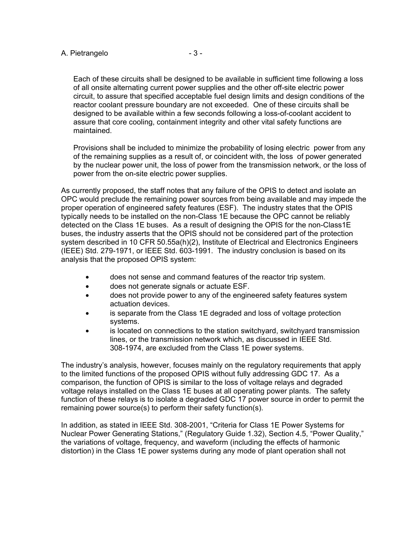# A. Pietrangelo  $-3 -$

Each of these circuits shall be designed to be available in sufficient time following a loss of all onsite alternating current power supplies and the other off-site electric power circuit, to assure that specified acceptable fuel design limits and design conditions of the reactor coolant pressure boundary are not exceeded. One of these circuits shall be designed to be available within a few seconds following a loss-of-coolant accident to assure that core cooling, containment integrity and other vital safety functions are maintained.

Provisions shall be included to minimize the probability of losing electric power from any of the remaining supplies as a result of, or coincident with, the loss of power generated by the nuclear power unit, the loss of power from the transmission network, or the loss of power from the on-site electric power supplies.

As currently proposed, the staff notes that any failure of the OPIS to detect and isolate an OPC would preclude the remaining power sources from being available and may impede the proper operation of engineered safety features (ESF). The industry states that the OPIS typically needs to be installed on the non-Class 1E because the OPC cannot be reliably detected on the Class 1E buses. As a result of designing the OPIS for the non-Class1E buses, the industry asserts that the OPIS should not be considered part of the protection system described in 10 CFR 50.55a(h)(2), Institute of Electrical and Electronics Engineers (IEEE) Std. 279-1971, or IEEE Std. 603-1991. The industry conclusion is based on its analysis that the proposed OPIS system:

- does not sense and command features of the reactor trip system.
- does not generate signals or actuate ESF.
- does not provide power to any of the engineered safety features system actuation devices.
- is separate from the Class 1E degraded and loss of voltage protection systems.
- is located on connections to the station switchyard, switchyard transmission lines, or the transmission network which, as discussed in IEEE Std. 308-1974, are excluded from the Class 1E power systems.

The industry's analysis, however, focuses mainly on the regulatory requirements that apply to the limited functions of the proposed OPIS without fully addressing GDC 17. As a comparison, the function of OPIS is similar to the loss of voltage relays and degraded voltage relays installed on the Class 1E buses at all operating power plants. The safety function of these relays is to isolate a degraded GDC 17 power source in order to permit the remaining power source(s) to perform their safety function(s).

In addition, as stated in IEEE Std. 308-2001, "Criteria for Class 1E Power Systems for Nuclear Power Generating Stations," (Regulatory Guide 1.32), Section 4.5, "Power Quality," the variations of voltage, frequency, and waveform (including the effects of harmonic distortion) in the Class 1E power systems during any mode of plant operation shall not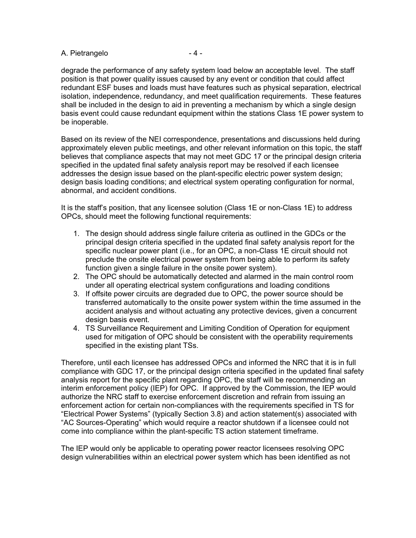# A. Pietrangelo  $-4 -$

degrade the performance of any safety system load below an acceptable level. The staff position is that power quality issues caused by any event or condition that could affect redundant ESF buses and loads must have features such as physical separation, electrical isolation, independence, redundancy, and meet qualification requirements. These features shall be included in the design to aid in preventing a mechanism by which a single design basis event could cause redundant equipment within the stations Class 1E power system to be inoperable.

Based on its review of the NEI correspondence, presentations and discussions held during approximately eleven public meetings, and other relevant information on this topic, the staff believes that compliance aspects that may not meet GDC 17 or the principal design criteria specified in the updated final safety analysis report may be resolved if each licensee addresses the design issue based on the plant-specific electric power system design; design basis loading conditions; and electrical system operating configuration for normal, abnormal, and accident conditions.

It is the staff's position, that any licensee solution (Class 1E or non-Class 1E) to address OPCs, should meet the following functional requirements:

- 1. The design should address single failure criteria as outlined in the GDCs or the principal design criteria specified in the updated final safety analysis report for the specific nuclear power plant (i.e., for an OPC, a non-Class 1E circuit should not preclude the onsite electrical power system from being able to perform its safety function given a single failure in the onsite power system).
- 2. The OPC should be automatically detected and alarmed in the main control room under all operating electrical system configurations and loading conditions
- 3. If offsite power circuits are degraded due to OPC, the power source should be transferred automatically to the onsite power system within the time assumed in the accident analysis and without actuating any protective devices, given a concurrent design basis event.
- 4. TS Surveillance Requirement and Limiting Condition of Operation for equipment used for mitigation of OPC should be consistent with the operability requirements specified in the existing plant TSs.

Therefore, until each licensee has addressed OPCs and informed the NRC that it is in full compliance with GDC 17, or the principal design criteria specified in the updated final safety analysis report for the specific plant regarding OPC, the staff will be recommending an interim enforcement policy (IEP) for OPC. If approved by the Commission, the IEP would authorize the NRC staff to exercise enforcement discretion and refrain from issuing an enforcement action for certain non-compliances with the requirements specified in TS for "Electrical Power Systems" (typically Section 3.8) and action statement(s) associated with "AC Sources-Operating" which would require a reactor shutdown if a licensee could not come into compliance within the plant-specific TS action statement timeframe.

The IEP would only be applicable to operating power reactor licensees resolving OPC design vulnerabilities within an electrical power system which has been identified as not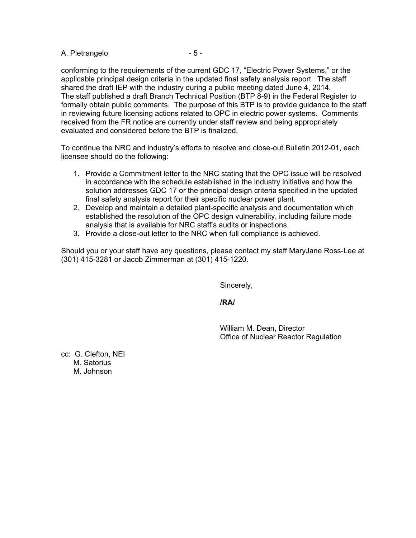## A. Pietrangelo  $-5 -$

conforming to the requirements of the current GDC 17, "Electric Power Systems," or the applicable principal design criteria in the updated final safety analysis report. The staff shared the draft IEP with the industry during a public meeting dated June 4, 2014. The staff published a draft Branch Technical Position (BTP 8-9) in the Federal Register to formally obtain public comments. The purpose of this BTP is to provide guidance to the staff in reviewing future licensing actions related to OPC in electric power systems. Comments received from the FR notice are currently under staff review and being appropriately evaluated and considered before the BTP is finalized.

To continue the NRC and industry's efforts to resolve and close-out Bulletin 2012-01, each licensee should do the following:

- 1. Provide a Commitment letter to the NRC stating that the OPC issue will be resolved in accordance with the schedule established in the industry initiative and how the solution addresses GDC 17 or the principal design criteria specified in the updated final safety analysis report for their specific nuclear power plant.
- 2. Develop and maintain a detailed plant-specific analysis and documentation which established the resolution of the OPC design vulnerability, including failure mode analysis that is available for NRC staff's audits or inspections.
- 3. Provide a close-out letter to the NRC when full compliance is achieved.

Should you or your staff have any questions, please contact my staff MaryJane Ross-Lee at (301) 415-3281 or Jacob Zimmerman at (301) 415-1220.

Sincerely,

**/RA/** 

 William M. Dean, Director Office of Nuclear Reactor Regulation

cc: G. Clefton, NEI M. Satorius M. Johnson